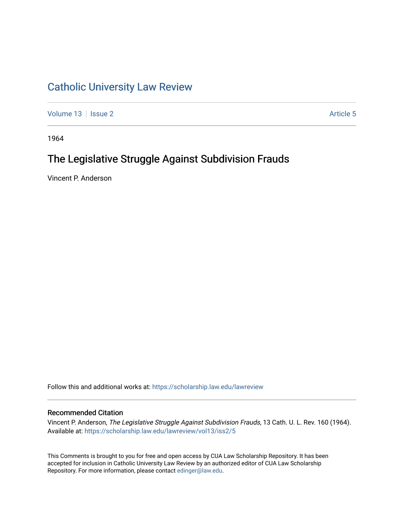## [Catholic University Law Review](https://scholarship.law.edu/lawreview)

[Volume 13](https://scholarship.law.edu/lawreview/vol13) | [Issue 2](https://scholarship.law.edu/lawreview/vol13/iss2) Article 5

1964

# The Legislative Struggle Against Subdivision Frauds

Vincent P. Anderson

Follow this and additional works at: [https://scholarship.law.edu/lawreview](https://scholarship.law.edu/lawreview?utm_source=scholarship.law.edu%2Flawreview%2Fvol13%2Fiss2%2F5&utm_medium=PDF&utm_campaign=PDFCoverPages)

### Recommended Citation

Vincent P. Anderson, The Legislative Struggle Against Subdivision Frauds, 13 Cath. U. L. Rev. 160 (1964). Available at: [https://scholarship.law.edu/lawreview/vol13/iss2/5](https://scholarship.law.edu/lawreview/vol13/iss2/5?utm_source=scholarship.law.edu%2Flawreview%2Fvol13%2Fiss2%2F5&utm_medium=PDF&utm_campaign=PDFCoverPages)

This Comments is brought to you for free and open access by CUA Law Scholarship Repository. It has been accepted for inclusion in Catholic University Law Review by an authorized editor of CUA Law Scholarship Repository. For more information, please contact [edinger@law.edu.](mailto:edinger@law.edu)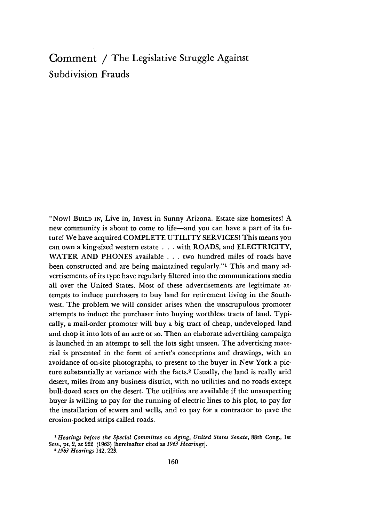## Comment **/** The Legislative Struggle Against Subdivision Frauds

"Now! BuILD IN, Live in, Invest in Sunny Arizona. Estate size homesites! A new community is about to come to life-and you can have a part of its future! We have acquired COMPLETE UTILITY SERVICES! This means you can own a king-sized western estate . . .with ROADS, and ELECTRICITY, WATER AND PHONES available . . . two hundred miles of roads have been constructed and are being maintained regularly."<sup>1</sup> This and many advertisements of its type have regularly filtered into the communications media all over the United States. Most of these advertisements are legitimate attempts to induce purchasers to buy land for retirement living in the Southwest. The problem we will consider arises when the unscrupulous promoter attempts to induce the purchaser into buying worthless tracts of land. Typically, a mail-order promoter will buy a big tract of cheap, undeveloped land and chop it into lots of an acre or so. Then an elaborate advertising campaign is launched in an attempt to sell the lots sight unseen. The advertising material is presented in the form of artist's conceptions and drawings, with an avoidance of on-site photographs, to present to the buyer in New York a picture substantially at variance with the facts.<sup>2</sup> Usually, the land is really arid desert, miles from any business district, with no utilities and no roads except bull-dozed scars on the desert. The utilities are available if the unsuspecting buyer is willing to pay for the running of electric lines to his plot, to pay for the installation of sewers and wells, and to pay for a contractor to pave the erosion-pocked strips called roads.

*<sup>&#</sup>x27;Hearings before the Special Committee on Aging, United States Senate,* 88th Cong., 1st Sess., pt. 2, at 222 (1963) [hereinafter cited as *1963 Hearings].*

*<sup>&#</sup>x27;11963 Hearings* 142, **223.**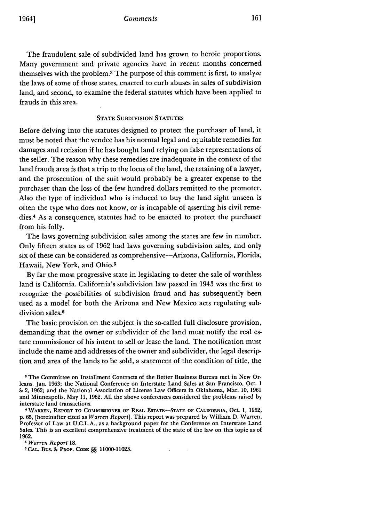The fraudulent sale of subdivided land has grown to heroic proportions. Many government and private agencies have in recent months concerned themselves with the problem.3 The purpose of this comment is first, to analyze the laws of some of those states, enacted to curb abuses in sales of subdivision land, and second, to examine the federal statutes which have been applied to frauds in this area.

### **STATE SUBDIVISION STATUTES**

Before delving into the statutes designed to protect the purchaser of land, it must be noted that the vendee has his normal legal and equitable remedies for damages and recission if he has bought land relying on false representations of the seller. The reason why these remedies are inadequate in the context of the land frauds area is that a trip to the locus of the land, the retaining of a lawyer, and the prosecution of the suit would probably be a greater expense to the purchaser than the loss of the few hundred dollars remitted to the promoter. Also the type of individual who is induced to buy the land sight unseen is often the type who does not know, or is incapable of asserting his civil remedies.4 As a consequence, statutes had to be enacted to protect the purchaser from his folly.

The laws governing subdivision sales among the states are few in number. Only fifteen states as of 1962 had laws governing subdivision sales, and only six of these can be considered as comprehensive-Arizona, California, Florida, Hawaii, New York, and Ohio.<sup>5</sup>

**By** far the most progressive state in legislating to deter the sale of worthless land is California. California's subdivision law passed in 1943 was the first to recognize the possibilities of subdivision fraud and has subsequently been used as a model for both the Arizona and New Mexico acts regulating subdivision sales.6

The basic provision on the subject is the so-called full disclosure provision, demanding that the owner or subdivider of the land must notify the real estate commissioner of his intent to sell or lease the land. The notification must include the name and addresses of the owner and subdivider, the legal description and area of the lands to be sold, a statement of the condition of title, the

 $\Delta \sim$ 

*<sup>5</sup>Warren Report* 18. **<sup>6</sup> CAL. Bus. & PROF. CODE** §§ **11000-11028.**

**<sup>3</sup>** The Committee on Installment Contracts of the Better Business Bureau met in New Orleans, Jan. **1963;** the National Conference on Interstate Land Sales at San Francisco, Oct. **1 &** 2, **1962;** and the National Association of License Law Officers in Oklahoma, Mar. **10, 1961** and Minneapolis, May **11,** 1962. All the above conferences considered the problems raised by interstate land transactions.

**<sup>&#</sup>x27;WARREN, REPORT TO COMMISSIONER OF REAL ESTATE-STATE OF CALIFORNIA,** Oct. **1,** 1962, **p.** 65, [hereinafter cited as *Warren Report].* This report was prepared by William D. Warren, Professor **of** Law at U.C.L.A., as a background paper for the Conference on Interstate Land Sales. This is an excellent comprehensive treatment of the state of the law on this topic as of 1962.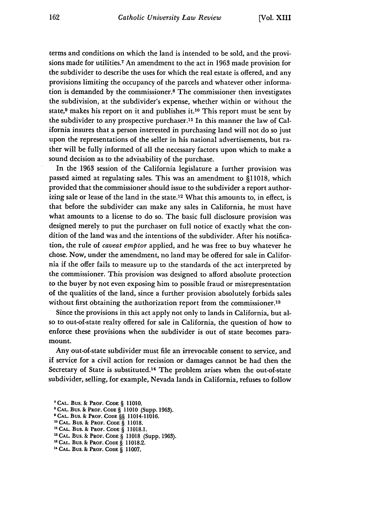terms and conditions on which the land is intended to be sold, and the provisions made for utilities.7 An amendment to the act in 1963 made provision for the subdivider to describe the uses for which the real estate is offered, and any provisions limiting the occupancy of the parcels and whatever other information is demanded by the commissioner.8 The commissioner then investigates the subdivision, at the subdivider's expense, whether within or without the state, 9 makes his report on it and publishes **it.1o** This report must be sent by the subdivider to any prospective purchaser.<sup>11</sup> In this manner the law of California insures that a person interested in purchasing land will not do so just upon the representations of the seller in his national advertisements, but rather will be fully informed of all the necessary factors upon which to make a sound decision as to the advisability of the purchase.

In the 1963 session of the California legislature a further provision was passed aimed at regulating sales. This was an amendment to §11018, which provided that the commissioner should issue to the subdivider a report authorizing sale or lease of the land in the state.<sup>12</sup> What this amounts to, in effect, is that before the subdivider can make any sales in California, he must have what amounts to a license to do so. The basic full disclosure provision was designed merely to put the purchaser on full notice of exactly what the condition of the land was and the intentions of the subdivider. After his notification, the rule of *caveat emptor* applied, and he was free to buy whatever he chose. Now, under the amendment, no land may be offered for sale in California if the offer fails to measure up to the standards of the act interpreted by the commissioner. This provision was designed to afford absolute protection to the buyer by not even exposing him to possible fraud or misrepresentation of the qualities of the land, since a further provision absolutely forbids sales without first obtaining the authorization report from the commissioner.<sup>13</sup>

Since the provisions in this act apply not only to lands in California, but also to out-of-state realty offered for sale in California, the question of how to enforce these provisions when the subdivider is out of state becomes paramount.

Any out-of-state subdivider must file an irrevocable consent to service, and if service for a civil action for recission or damages cannot be had then the Secretary of State is substituted.14 The problem arises when the out-of-state subdivider, selling, for example, Nevada lands in California, refuses to follow

**<sup>7</sup> CAL. Bus. & PROF. CODE** § **11010.**

**<sup>&#</sup>x27;CAL. Bus.** & **PROF. CODE** § **11010 (Supp. 1963).**

**<sup>9</sup> CAL. Bus. & PROF. CODE** §§ 11014-11016.

**<sup>1</sup>CAL. Bus.** & **PROF. CODE** § **11018.**

**<sup>&</sup>quot;CAL. Bus. & PROF. CODE** § **11018.1.**

<sup>1</sup> **CAL. Bus.** & **PROF. CODE** § 11018 (Supp. 1963).

**CAL. Bus. & PROF. CODE** § **11018.2.**

**<sup>&</sup>quot;CAL. Bus. & PROF. CODE** § **11007.**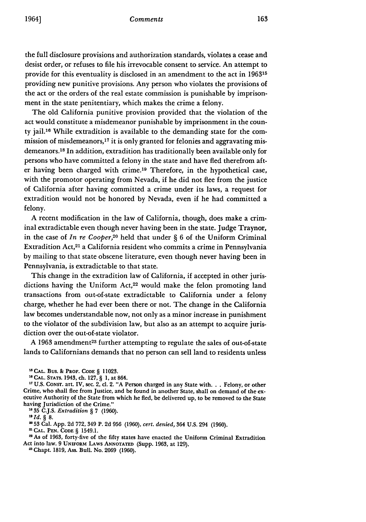#### *Comments*

the full disclosure provisions and authorization standards, violates a cease and desist order, or refuses to file his irrevocable consent to service. An attempt to provide for this eventuality is disclosed in an amendment to the act in **196315** providing new punitive provisions. Any person who violates the provisions of the act or the orders of the real estate commission is punishable by imprisonment in the state penitentiary, which makes the crime a felony.

The old California punitive provision provided that the violation of the act would constitute a misdemeanor punishable by imprisonment in the county jail. 16 While extradition is available to the demanding state for the commission of misdemeanors, $17$  it is only granted for felonies and aggravating misdemeanors.<sup>18</sup> In addition, extradition has traditionally been available only for persons who have committed a felony in the state and have fled therefrom after having been charged with crime. 19 Therefore, in the hypothetical case, with the promotor operating from Nevada, if he did not flee from the justice of California after having committed a crime under its laws, a request for extradition would not be honored by Nevada, even if he had committed a felony.

A recent modification in the law of California, though, does make a criminal extradictable even though never having been in the state. Judge Traynor, in the case of *In re Cooper,20* held that under § 6 of the Uniform Criminal Extradition Act,<sup>21</sup> a California resident who commits a crime in Pennsylvania by mailing to that state obscene literature, even though never having been in Pennsylvania, is extradictable to that state.

This change in the extradition law of California, if accepted in other jurisdictions having the Uniform Act,<sup>22</sup> would make the felon promoting land transactions from out-of-state extradictable to California under a felony charge, whether he had ever been there or not. The change in the California law becomes understandable now, not only as a minor increase in punishment to the violator of the subdivision law, but also as an attempt to acquire jurisdiction over the out-of-state violator.

A 1963 amendment<sup>23</sup> further attempting to regulate the sales of out-of-state lands to Californians demands that no person can sell land to residents unless

"35 C.J.S. *Extradition §* 7 (1960).

**53** Cal. **App. 2d 772,** 349 P. **2d 956 (1960),** *cert. denied,* 364 **U.S.** 294 **(1960).**

<sup>m</sup>**CAL. PEN. CODE** § 1549.1.

As of 1963, forty-five of the fifty states have enacted the Uniform Criminal Extradition Act into law. 9 **UNIFORM** LAws **ANNOTATED** (Supp. 1963, at 129).

<sup>23</sup> Chapt. 1819, Ass. Bull. No. 2069 (1960).

**<sup>&#</sup>x27;3CAL.** Bus. **&** PROF. **CODE** § **11023.**

**<sup>&#</sup>x27;3CAL. STATS.** 1943, ch. **127,** § **1,** at 864.

IT **U.S. CONST.** art. IV, sec. 2, **cl.** 2. **"A** Person charged in any State **with...** Felony, or other Crime, who shall flee from Justice, and be found in another State, shall on demand of the executive Authority of the State from which he fled, be delivered up, to be removed to the State having Jurisdiction of the Crime."

*Id. §* **8.**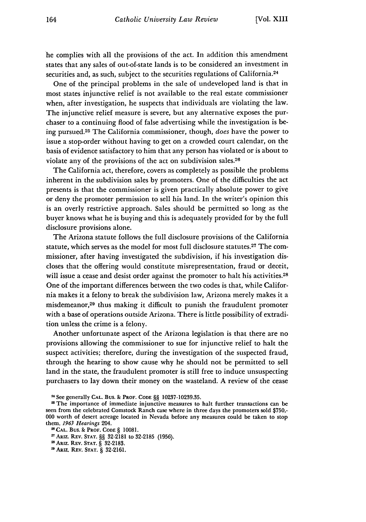he complies with all the provisions of the act. In addition this amendment states that any sales of out-of-state lands is to be considered an investment in securities and, as such, subject to the securities regulations of California.<sup>24</sup>

One of the principal problems in the sale of undeveloped land is that in most states injunctive relief is not available to the real estate commissioner when, after investigation, he suspects that individuals are violating the law. The injunctive relief measure is severe, but any alternative exposes the purchaser to a continuing flood of false advertising while the investigation is being pursued.25 The California commissioner, though, *does* have the power to issue a stop-order without having to get on a crowded court calendar, on the basis of evidence satisfactory to him that any person has violated or is about to violate any of the provisions of the act on subdivision sales. $26$ 

The California act, therefore, covers as completely as possible the problems inherent in the subdivision sales by promoters. One of the difficulties the act presents is that the commissioner is given practically absolute power to give or deny the promoter permission to sell his land. In the writer's opinion this is an overly restrictive approach. Sales should be permitted so long as the buyer knows what he is buying and this is adequately provided for by the full disclosure provisions alone.

The Arizona statute follows the full disclosure provisions of the California statute, which serves as the model for most full disclosure statutes.27 The commissioner, after having investigated the subdivision, if his investigation discloses that the offering would constitute misrepresentation, fraud or deceit, will issue a cease and desist order against the promoter to halt his activities.<sup>28</sup> One of the important differences between the two codes is that, while California makes it a felony to break the subdivision law, Arizona merely makes it a misdemeanor,<sup>29</sup> thus making it difficult to punish the fraudulent promoter with a base of operations outside Arizona. There is little possibility of extradition unless the crime is a felony.

Another unfortunate aspect of the Arizona legislation is that there are no provisions allowing the commissioner to sue for injunctive relief to halt the suspect activities; therefore, during the investigation of the suspected fraud, through the hearing to show cause why he should not be permitted to sell land in the state, the fraudulent promoter is still free to induce unsuspecting purchasers to lay down their money on the wasteland. A review of the cease

<sup>21</sup> **See** generally **CAL.** Bus. & **PROF. CODE** §§ **10237-10239.35.**

<sup>2</sup> The importance of immediate injunctive measures to halt further transactions can be seen from the celebrated Comstock Ranch case where in three days the promoters sold **\$750,- 000** worth of desert acreage located in Nevada before any measures could be taken to stop them. *1963 Hearings* 204.

**<sup>2&#</sup>x27;CAL.** Bus. **& PROF. CODE** § **10081.**

**<sup>\*1</sup> ARIZ. REV. STAT.** §§ **32-2181** to **32-2185 (1956).**

<sup>21</sup> **ARIZ.** REv. **STAT.** § **32-2183.**

**AIz.** REV. **STAT.** § **32-2161.**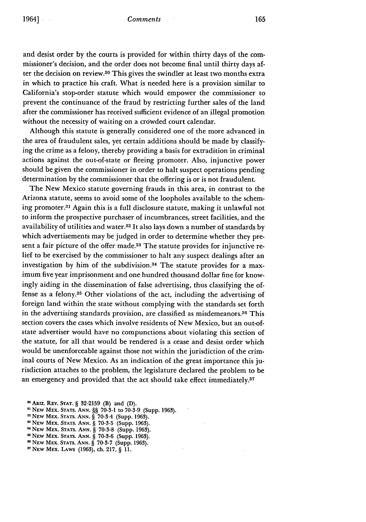#### *Comments*

and desist order **by** the courts is provided for within thirty days of the commissioner's decision, and the order does not become final until thirty days after the decision on review.30 This gives the swindler at least two months extra in which to practice his craft. What is needed here is a provision similar to California's stop-order statute which would empower the commissioner to prevent the continuance of the fraud **by** restricting further sales of the land after the commissioner has received sufficient evidence of an illegal promotion without the necessity of waiting on a crowded court calendar.

Although this statute is generally considered one of the more advanced in the area of fraudulent sales, yet certain additions should be made **by** classifying the crime as a felony, thereby providing a basis for extradition in criminal actions against the out-of-state or fleeing promoter. Also, injunctive power should be given the commissioner in order to halt suspect operations pending determination **by** the commissioner that the offering is or is not fraudulent.

The New Mexico statute governing frauds in this area, in contrast to the Arizona statute, seems to avoid some of the loopholes available to the scheming promoter.31 Again this is a full disclosure statute, making it unlawful not to inform the prospective purchaser of incumbrances, street facilities, and the availability of utilities and water.<sup>32</sup> It also lays down a number of standards by which advertisements may be judged in order to determine whether they present a fair picture of the offer made.<sup>33</sup> The statute provides for injunctive relief to be exercised **by** the commissioner to halt any suspect dealings after an investigation by him of the subdivision.<sup>34</sup> The statute provides for a maximum five year imprisonment and one hundred thousand dollar fine for knowingly aiding in the dissemination of false advertising, thus classifying the offense as a felony.35 Other violations of the act, including the advertising of foreign land within the state without complying with the standards set forth in the advertising standards provision, are classified as misdemeanors.36 This section covers the cases which involve residents of New Mexico, but an out-ofstate advertiser would have no compunctions about violating this section of the statute, for all that would be rendered is a cease and desist order which would be unenforceable against those not within the jurisdiction of the criminal courts of New Mexico. As an indication of the great importance this jurisdiction attaches to the problem, the legislature declared the problem to be an emergency and provided that the act should take effect immediately.<sup>37</sup>

**<sup>10</sup> ARiz. REv. STAT. § 32-2159** (B) and (D).

<sup>&</sup>lt;sup>31</sup> NEW MEX. STATS. ANN. §§ 70-3-1 to 70-3-9 (Supp. 1963).

**NEW** MEX. STATS. **ANN.** § 70-3-5 (Supp. 1963).

**<sup>&</sup>quot;NEW** MEX. STATS. **ANN.** § 70-3-8 (Supp. 1963).

**<sup>&</sup>quot;NEW** MEX. STATS. **ANN.** § 70-3-6 (Supp. **1963).**

**<sup>&</sup>quot;NEW** MEX. **STATS. ANN.** § 70-3-7 (Supp. 1963).

**<sup>7</sup>NEW** MEX. LAWS (1963), ch. 217, § 11.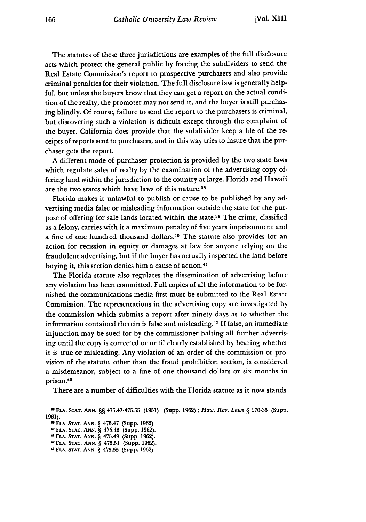The statutes of these three jurisdictions are examples of the full disclosure acts which protect the general public by forcing the subdividers to send the Real Estate Commission's report to prospective purchasers and also provide criminal penalties for their violation. The full disclosure law is generally helpful, but unless the buyers know that they can get a report on the actual condition of the realty, the promoter may not send it, and the buyer is still purchasing blindly. Of course, failure to send the report to the purchasers is criminal, but discovering such a violation is difficult except through the complaint of the buyer. California does provide that the subdivider keep a file of the receipts of reports sent to purchasers, and in this way tries to insure that the purchaser gets the report.

**A** different mode of purchaser protection is provided by the two state laws which regulate sales of realty by the examination of the advertising copy offering land within the jurisdiction to the country at large. Florida and Hawaii are the two states which have laws of this nature.38

Florida makes it unlawful to publish or cause to be published by any advertising media false or misleading information outside the state for the purpose of offering for sale lands located within the state.<sup>39</sup> The crime, classified as a felony, carries with it a maximum penalty of five years imprisonment and a fine of one hundred thousand dollars.40 The statute also provides for an action for recission in equity or damages at law for anyone relying on the fraudulent advertising, but if the buyer has actually inspected the land before buying it, this section denies him a cause of action.<sup>41</sup>

The Florida statute also regulates the dissemination of advertising before any violation has been committed. Full copies of all the information to be furnished the communications media first must be submitted to the Real Estate Commission. The representations in the advertising copy are investigated by the commission which submits a report after ninety days as to whether the information contained therein is false and misleading.42 If false, an immediate injunction may be sued for by the commissioner halting all further advertising until the copy is corrected or until clearly established by hearing whether it is true or misleading. Any violation of an order of the commission or provision of the statute, other than the fraud prohibition section, is considered a misdemeanor, subject to a fine of one thousand dollars or six months in prison.<sup>48</sup>

There are a number of difficulties with the Florida statute as it now stands.

**,0 FLA. STAT. ANN.** § 475.48 (Supp. **1962). "1 FLA. STAT. ANN.** § 475.49 (Supp. **1962).** <sup>2</sup>**FLA. STAT. ANN.** § **475.51** (Supp. **1962). ," FLA. STAT. ANN.** § **475.55** (Supp. **1962).**

**<sup>&</sup>quot; FLA. STAT. ANN.** §§ **475.47-475.55 (1951)** (Supp. 1962) **;** *Haw. Rev. Laws* § **170-35** (Supp. 1961). FI **FLA. STAT. ANN.** § 475.47 (Supp. **1962).**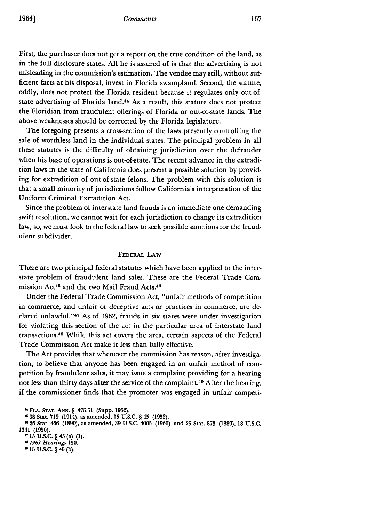#### *Comments*

First, the purchaser does not get a report on the true condition of the land, as in the full disclosure states. All he is assured of is that the advertising is not misleading in the commission's estimation. The vendee may still, without sufficient facts at his disposal, invest in Florida swampland. Second, the statute, oddly, does not protect the Florida resident because it regulates only out-ofstate advertising of Florida land.44 As a result, this statute does not protect the Floridian from fraudulent offerings of Florida or out-of-state lands. The above weaknesses should be corrected by the Florida legislature.

The foregoing presents a cross-section of the laws presently controlling the sale of worthless land in the individual states. The principal problem in all these statutes is the difficulty of obtaining jurisdiction over the defrauder when his base of operations is out-of-state. The recent advance in the extradition laws in the state of California does present a possible solution by providing for extradition of out-of-state felons. The problem with this solution is that a small minority of jurisdictions follow California's interpretation of the Uniform Criminal Extradition Act.

Since the problem of interstate land frauds is an immediate one demanding swift resolution, we cannot wait for each jurisdiction to change its extradition law; so, we must look to the federal law to seek possible sanctions for the fraudulent subdivider.

### FEDERAL LAW

There are two principal federal statutes which have been applied to the interstate problem of fraudulent land sales. These are the Federal Trade Commission Act<sup>45</sup> and the two Mail Fraud Acts.<sup>46</sup>

Under the Federal Trade Commission Act, "unfair methods of competition in commerce, and unfair or deceptive acts or practices in commerce, are declared unlawful."<sup>47</sup> As of 1962, frauds in six states were under investigation for violating this section of the act in the particular area of interstate land transactions. 48 While this act covers the area, certain aspects of the Federal Trade Commission Act make it less than fully effective.

The Act provides that whenever the commission has reason, after investigation, to believe that anyone has been engaged in an unfair method of competition by fraudulent sales, it may issue a complaint providing for a hearing not less than thirty days after the service of the complaint.49 After the hearing, if the commissioner finds that the promoter was engaged in unfair competi-

**<sup>&</sup>quot;FLA. STAT. ANN.** § **475.51** (Supp. 1962).

**<sup>&</sup>quot; 38** Stat. **719** (1914), as amended, **15 U.S.C.** § 45 **(1952).**

<sup>&</sup>quot; **26** Stat. 466 **(1890),** as amended, **39 U.S.C.** 4005 **(1960)** and **25** Stat. **873 (1889), 18 U.S.C.** 1341 **(1956).**

**<sup>,-</sup>** 15 U.S.C. § 45 (a) (1).

*<sup>,81963</sup> Hearings* **150.**

**<sup>,15</sup> U.S.C.** § 45 **(b).**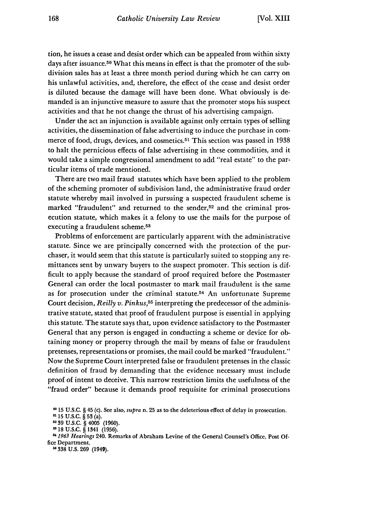tion, he issues a cease and desist order which can be appealed from within sixty days after issuance.<sup>50</sup> What this means in effect is that the promoter of the subdivision sales has at least a three month period during which he can carry on his unlawful activities, and, therefore, the effect of the cease and desist order is diluted because the damage will have been done. What obviously is demanded is an injunctive measure to assure that the promoter stops his suspect activities and that he not change the thrust of his advertising campaign.

Under the act an injunction is available against only certain types of selling activities, the dissemination of false advertising to induce the purchase in commerce of food, drugs, devices, and cosmetics.<sup>51</sup> This section was passed in 1938 to halt the pernicious effects of false advertising in these commodities, and it would take a simple congressional amendment to add "real estate" to the particular items of trade mentioned.

There are two mail fraud statutes which have been applied to the problem of the scheming promoter of subdivision land, the administrative fraud order statute whereby mail involved in pursuing a suspected fraudulent scheme is marked "fraudulent" and returned to the sender,<sup>52</sup> and the criminal prosecution statute, which makes it a felony to use the mails for the purpose of executing a fraudulent scheme.<sup>53</sup>

Problems of enforcement are particularly apparent with the administrative statute. Since we are principally concerned with the protection of the purchaser, it would seem that this statute is particularly suited to stopping any remittances sent by unwary buyers to the suspect promoter. This section is difficult to apply because the standard of proof required before the Postmaster General can order the local postmaster to mark mail fraudulent is the same as for prosecution under the criminal statute.54 An unfortunate Supreme Court decision, *Reilly v. Pinkus,55* interpreting the predecessor of the administrative statute, stated that proof of fraudulent purpose is essential in applying this statute. The statute says that, upon evidence satisfactory to the Postmaster General that any person is engaged in conducting a scheme or device for obtaining money or property through the mail by means of false or fraudulent pretenses, representations or promises, the mail could be marked "fraudulent." Now the Supreme Court interpreted false or fraudulent pretenses in the classic definition of fraud by demanding that the evidence necessary must include proof of intent to deceive. This narrow restriction limits the usefulness of the "fraud order" because it demands proof requisite for criminal prosecutions

**338 U.S. 269** (1949).

**<sup>0</sup>** 15 U.S.C. § 45 (c). See also, supra n. 25 as to the deleterious effect of delay in prosecution.

<sup>15</sup> U.S.C. *§* 53 (a).

**S39** U.S.C. *§* 4005 **(1960).**

**<sup>18</sup> U.S.C.** *§* 1341 **(1956).**

*<sup>1963</sup> Hearings* 240. Remarks of Abraham Levine of the General Counsel's Office, Post **Of**fice Department.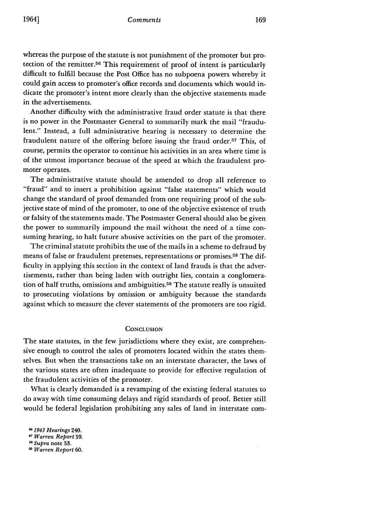whereas the purpose of the statute is not punishment of the promoter but protection of the remitter.56 This requirement of proof of intent is particularly difficult to fulfill because the Post Office has no subpoena powers whereby it could gain access to promoter's office records and documents which would indicate the promoter's intent more clearly than the objective statements made in the advertisements.

Another difficulty with the administrative fraud order statute is that there is no power in the Postmaster General to summarily mark the mail "fraudulent." Instead, a full administrative hearing is necessary to determine the fraudulent nature of the offering before issuing the fraud order.<sup>57</sup> This, of course, permits the operator to continue his activities in an area where time is of the utmost importance because of the speed at which the fraudulent promoter operates.

The administrative statute should be amended to drop all reference to "fraud" and to insert a prohibition against "false statements" which would change the standard of proof demanded from one requiring proof of the subjective state of mind of the promoter, to one of the objective existence of truth or falsity of the statements made. The Postmaster General should also be given the power to summarily impound the mail without the need of a time consuming hearing, to halt future abusive activities on the part of the promoter.

The criminal statute prohibits the use of the mails in a scheme to defraud by means of false or fraudulent pretenses, representations or promises.58 The difficulty in applying this section in the context of land frauds is that the advertisements, rather than being laden with outright lies, contain a conglomeration of half truths, omissions and ambiguities.<sup>59</sup> The statute really is unsuited to prosecuting violations **by** omission or ambiguity because the standards against which to measure the clever statements of the promoters are too rigid.

#### **CONCLUSION**

The state statutes, in the few jurisdictions where they exist, are comprehensive enough to control the sales of promoters located within the states themselves. But when the transactions take on an interstate character, the laws of the various states are often inadequate to provide for effective regulation of the fraudulent activities of the promoter.

What is clearly demanded is a revamping of the existing federal statutes to do away with time consuming delays and rigid standards of proof. Better still would be federal legislation prohibiting any sales of land in interstate com-

*1963 Hearings* 240.

*57 Warren Report* 59.

*51 Supra* note **53.**

**59** *Warren Report* **60.**